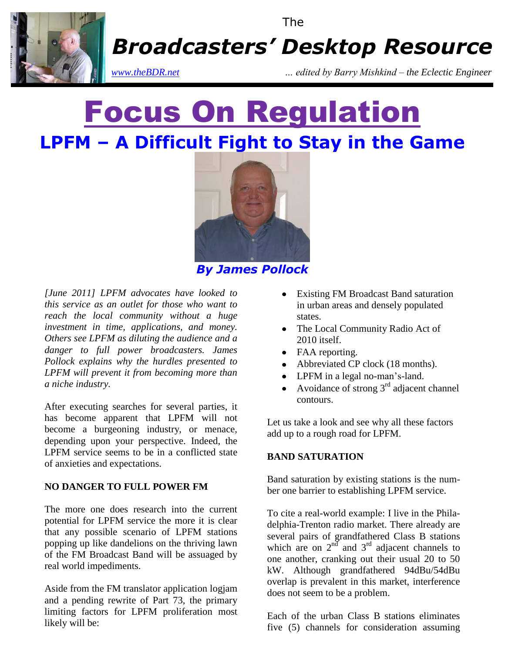

The

*Broadcasters' Desktop Resource*

*www.theBDR.net … edited by Barry Mishkind – the Eclectic Engineer*

# Focus On Regulation **LPFM – A Difficult Fight to Stay in the Game**



*By James Pollock*

*[June 2011] LPFM advocates have looked to this service as an outlet for those who want to reach the local community without a huge investment in time, applications, and money. Others see LPFM as diluting the audience and a danger to full power broadcasters. James Pollock explains why the hurdles presented to LPFM will prevent it from becoming more than a niche industry.*

After executing searches for several parties, it has become apparent that LPFM will not become a burgeoning industry, or menace, depending upon your perspective. Indeed, the LPFM service seems to be in a conflicted state of anxieties and expectations.

#### **NO DANGER TO FULL POWER FM**

The more one does research into the current potential for LPFM service the more it is clear that any possible scenario of LPFM stations popping up like dandelions on the thriving lawn of the FM Broadcast Band will be assuaged by real world impediments.

Aside from the FM translator application logjam and a pending rewrite of Part 73, the primary limiting factors for LPFM proliferation most likely will be:

- Existing FM Broadcast Band saturation in urban areas and densely populated states.
- The Local Community Radio Act of 2010 itself.
- FAA reporting.
- Abbreviated CP clock (18 months).
- LPFM in a legal no-man's-land.
- Avoidance of strong 3rd adjacent channel contours.

Let us take a look and see why all these factors add up to a rough road for LPFM.

#### **BAND SATURATION**

Band saturation by existing stations is the number one barrier to establishing LPFM service.

To cite a real-world example: I live in the Philadelphia-Trenton radio market. There already are several pairs of grandfathered Class B stations which are on  $2^{nd}$  and  $3^{rd}$  adjacent channels to one another, cranking out their usual 20 to 50 kW. Although grandfathered 94dBu/54dBu overlap is prevalent in this market, interference does not seem to be a problem.

Each of the urban Class B stations eliminates five (5) channels for consideration assuming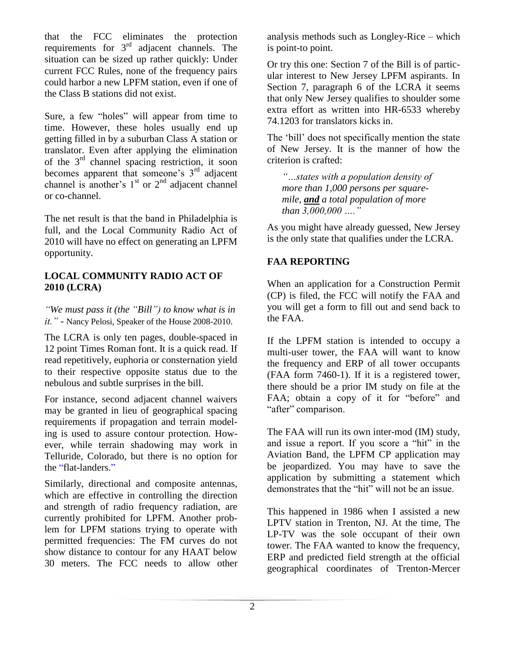that the FCC eliminates the protection requirements for  $3<sup>rd</sup>$  adjacent channels. The situation can be sized up rather quickly: Under current FCC Rules, none of the frequency pairs could harbor a new LPFM station, even if one of the Class B stations did not exist.

Sure, a few "holes" will appear from time to time. However, these holes usually end up getting filled in by a suburban Class A station or translator. Even after applying the elimination of the 3rd channel spacing restriction, it soon becomes apparent that someone's  $3<sup>rd</sup>$  adjacent channel is another's  $1<sup>st</sup>$  or  $2<sup>nd</sup>$  adjacent channel or co-channel.

The net result is that the band in Philadelphia is full, and the Local Community Radio Act of 2010 will have no effect on generating an LPFM opportunity.

#### **LOCAL COMMUNITY RADIO ACT OF 2010 (LCRA)**

*"We must pass it (the "Bill") to know what is in it." -* Nancy Pelosi, Speaker of the House 2008-2010.

The LCRA is only ten pages, double-spaced in 12 point Times Roman font. It is a quick read. If read repetitively, euphoria or consternation yield to their respective opposite status due to the nebulous and subtle surprises in the bill.

For instance, second adjacent channel waivers may be granted in lieu of geographical spacing requirements if propagation and terrain modeling is used to assure contour protection. However, while terrain shadowing may work in Telluride, Colorado, but there is no option for the "flat-landers."

Similarly, directional and composite antennas, which are effective in controlling the direction and strength of radio frequency radiation, are currently prohibited for LPFM. Another problem for LPFM stations trying to operate with permitted frequencies: The FM curves do not show distance to contour for any HAAT below 30 meters. The FCC needs to allow other analysis methods such as Longley-Rice – which is point-to point.

Or try this one: Section 7 of the Bill is of particular interest to New Jersey LPFM aspirants. In Section 7, paragraph 6 of the LCRA it seems that only New Jersey qualifies to shoulder some extra effort as written into HR-6533 whereby 74.1203 for translators kicks in.

The "bill" does not specifically mention the state of New Jersey. It is the manner of how the criterion is crafted:

*"…states with a population density of more than 1,000 persons per squaremile, and a total population of more than 3,000,000 …."* 

As you might have already guessed, New Jersey is the only state that qualifies under the LCRA.

#### **FAA REPORTING**

When an application for a Construction Permit (CP) is filed, the FCC will notify the FAA and you will get a form to fill out and send back to the FAA.

If the LPFM station is intended to occupy a multi-user tower, the FAA will want to know the frequency and ERP of all tower occupants (FAA form 7460-1). If it is a registered tower, there should be a prior IM study on file at the FAA; obtain a copy of it for "before" and "after" comparison.

The FAA will run its own inter-mod (IM) study, and issue a report. If you score a "hit" in the Aviation Band, the LPFM CP application may be jeopardized. You may have to save the application by submitting a statement which demonstrates that the "hit" will not be an issue.

This happened in 1986 when I assisted a new LPTV station in Trenton, NJ. At the time, The LP-TV was the sole occupant of their own tower. The FAA wanted to know the frequency, ERP and predicted field strength at the official geographical coordinates of Trenton-Mercer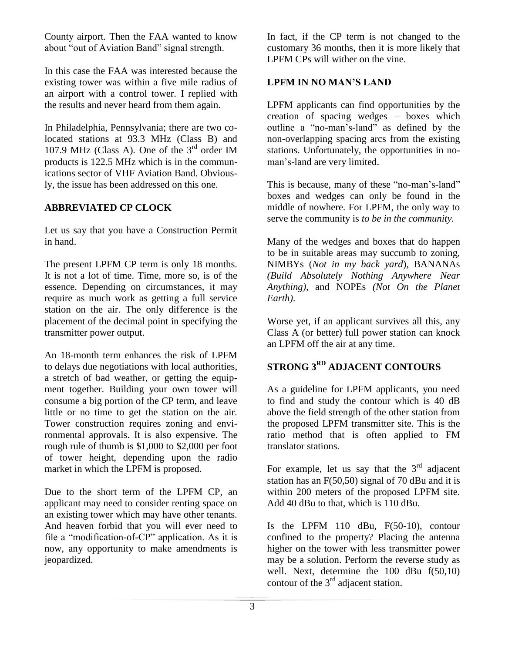County airport. Then the FAA wanted to know about "out of Aviation Band" signal strength.

In this case the FAA was interested because the existing tower was within a five mile radius of an airport with a control tower. I replied with the results and never heard from them again.

In Philadelphia, Pennsylvania; there are two colocated stations at 93.3 MHz (Class B) and 107.9 MHz (Class A). One of the  $3<sup>rd</sup>$  order IM products is 122.5 MHz which is in the communications sector of VHF Aviation Band. Obviously, the issue has been addressed on this one.

#### **ABBREVIATED CP CLOCK**

Let us say that you have a Construction Permit in hand.

The present LPFM CP term is only 18 months. It is not a lot of time. Time, more so, is of the essence. Depending on circumstances, it may require as much work as getting a full service station on the air. The only difference is the placement of the decimal point in specifying the transmitter power output.

An 18-month term enhances the risk of LPFM to delays due negotiations with local authorities, a stretch of bad weather, or getting the equipment together. Building your own tower will consume a big portion of the CP term, and leave little or no time to get the station on the air. Tower construction requires zoning and environmental approvals. It is also expensive. The rough rule of thumb is \$1,000 to \$2,000 per foot of tower height, depending upon the radio market in which the LPFM is proposed.

Due to the short term of the LPFM CP, an applicant may need to consider renting space on an existing tower which may have other tenants. And heaven forbid that you will ever need to file a "modification-of-CP" application. As it is now, any opportunity to make amendments is jeopardized.

In fact, if the CP term is not changed to the customary 36 months, then it is more likely that LPFM CPs will wither on the vine.

#### **LPFM IN NO MAN'S LAND**

LPFM applicants can find opportunities by the creation of spacing wedges – boxes which outline a "no-man"s-land" as defined by the non-overlapping spacing arcs from the existing stations. Unfortunately, the opportunities in noman"s-land are very limited.

This is because, many of these "no-man's-land" boxes and wedges can only be found in the middle of nowhere. For LPFM, the only way to serve the community is *to be in the community.*

Many of the wedges and boxes that do happen to be in suitable areas may succumb to zoning, NIMBYs (*Not in my back yard*), BANANAs *(Build Absolutely Nothing Anywhere Near Anything)*, and NOPEs *(Not On the Planet Earth)*.

Worse yet, if an applicant survives all this, any Class A (or better) full power station can knock an LPFM off the air at any time.

### **STRONG 3RD ADJACENT CONTOURS**

As a guideline for LPFM applicants, you need to find and study the contour which is 40 dB above the field strength of the other station from the proposed LPFM transmitter site. This is the ratio method that is often applied to FM translator stations.

For example, let us say that the  $3<sup>rd</sup>$  adjacent station has an F(50,50) signal of 70 dBu and it is within 200 meters of the proposed LPFM site. Add 40 dBu to that, which is 110 dBu.

Is the LPFM 110 dBu, F(50-10), contour confined to the property? Placing the antenna higher on the tower with less transmitter power may be a solution. Perform the reverse study as well. Next, determine the 100 dBu f(50,10) contour of the  $3<sup>rd</sup>$  adjacent station.